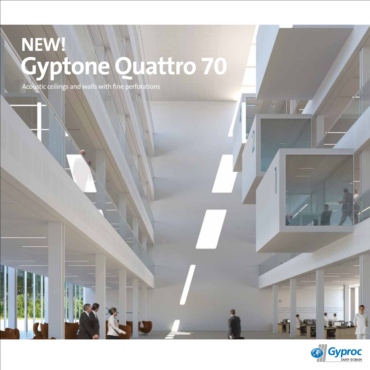# **Gyptone Quattro 70 NEW!**

Acoustic ceilings and walls with fine perforations



66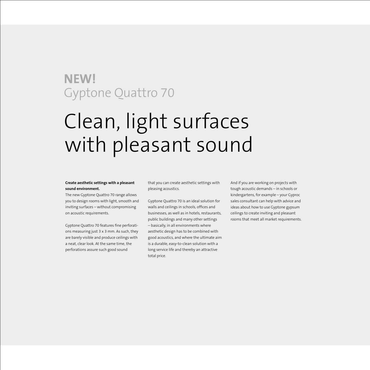# Clean, light surfaces with pleasant sound

#### **Create aesthetic settings with a pleasant sound environment.**

The new Gyptone Quattro 70 range allows you to design rooms with light, smooth and inviting surfaces – without compromising on acoustic requirements.

Gyptone Quattro 70 features fine perforations measuring just 3 x 3 mm. As such, they are barely visible and produce ceilings with a neat, clear look. At the same time, the perforations assure such good sound

that you can create aesthetic settings with pleasing acoustics.

Gyptone Quattro 70 is an ideal solution for walls and ceilings in schools, offices and businesses, as well as in hotels, restaurants, public buildings and many other settings – basically, in all environments where aesthetic design has to be combined with good acoustics, and where the ultimate aim is a durable, easy-to-clean solution with a long service life and thereby an attractive total price.

And if you are working on projects with tough acoustic demands – in schools or kindergartens, for example – your Gyproc sales consultant can help with advice and ideas about how to use Gyptone gypsum ceilings to create inviting and pleasant rooms that meet all market requirements.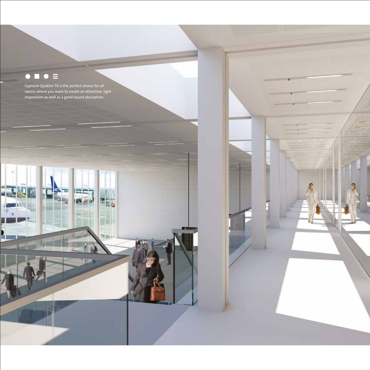### $\bullet \ \blacksquare \ \bullet \ \equiv$

专

Gyptone Quattro 70 is the perfect choice for all rooms where you want to create an attractive, light impression as well as a good sound absorption.

u۱

 $|| - 1||$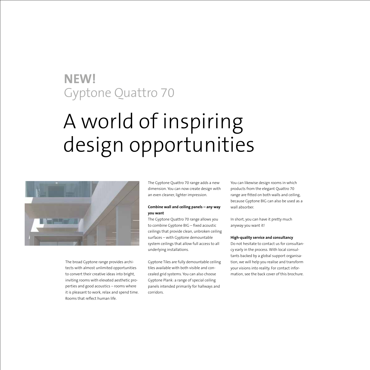# A world of inspiring design opportunities



The broad Gyptone range provides architects with almost unlimited opportunities to convert their creative ideas into bright, inviting rooms with elevated aesthetic properties and good acoustics – rooms where it is pleasant to work, relax and spend time. Rooms that reflect human life.

The Gyptone Quattro 70 range adds a new dimension. You can now create design with an even cleaner, lighter impression.

#### **Combine wall and ceiling panels – any way you want**

The Gyptone Quattro 70 range allows you to combine Gyptone BIG – fixed acoustic ceilings that provide clean, unbroken ceiling surfaces – with Gyptone demountable system ceilings that allow full access to all underlying installations.

Gyptone Tiles are fully demountable ceiling tiles available with both visible and concealed grid systems. You can also choose Gyptone Plank: a range of special ceiling panels intended primarily for hallways and corridors.

You can likewise design rooms in which products from the elegant Quattro 70 range are fitted on both walls and ceiling, because Gyptone BIG can also be used as a wall absorber.

In short, you can have it pretty much anyway you want it!

#### **High-quality service and consultancy**

Do not hesitate to contact us for consultancy early in the process. With local consultants backed by a global support organisation, we will help you realise and transform your visions into reality. For contact information, see the back cover of this brochure.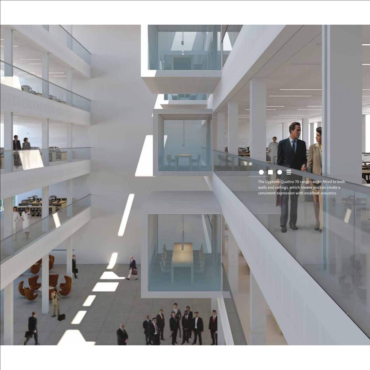### $\bullet \ \blacksquare \ \bullet \ \equiv$

un m Va

**Little** 

2

**Carl Ut** 

The Gyptone Quattro 70 range can be fitted to both walls and ceilings, which means you can create a consistent expression with excellent acoustics.

Į

ak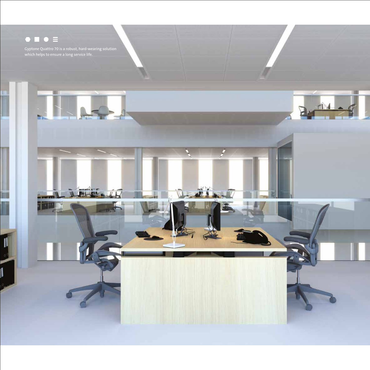## $\bullet \bullet \bullet \equiv$

Gyptone Quattro 70 is a robust, hard-wearing solution which helps to ensure a long service life.

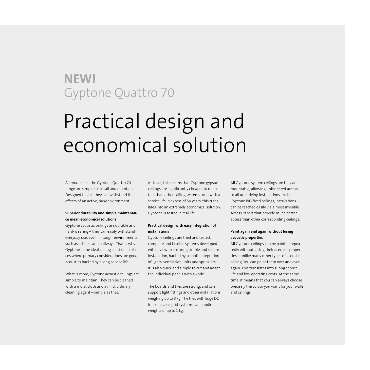# Practical design and economical solution

All products in the Gyptone Quattro 70 range are simple to install and maintain. Designed to last, they can withstand the effects of an active, busy environment.

#### **Superior durability and simple maintenance mean economical solutions**

Gyptone acoustic ceilings are durable and hard-wearing – they can easily withstand everyday use, even in 'tough' environments such as schools and hallways. That is why Gyptone is the ideal ceiling solution in places where primary considerations are good acoustics backed by a long service life.

What is more, Gyptone acoustic ceilings are simple to maintain. They can be cleaned with a moist cloth and a mild, ordinary cleaning agent – simple as that.

All in all, this means that Gyptone gypsum ceilings are significantly cheaper to maintain than other ceiling systems. And with a service life in excess of 50 years, this translates into an extremely economical solution. Gyptone is tested in real life

#### **Practical design with easy integration of installations**

Gyptone ceilings are tried and tested, complete and flexible systems developed with a view to ensuring simple and secure installation, backed by smooth integration of lights, ventilation units and sprinklers. It is also quick and simple to cut and adapt the individual panels with a knife.

The boards and tiles are strong, and can support light fittings and other installations weighing up to 3 kg. The tiles with Edge D2 for concealed grid systems can handle weights of up to 1 kg.

All Gyptone system ceilings are fully demountable, allowing unhindered access to all underlying installations. In the Gyptone BIG fixed ceilings, installations can be reached easily via almost invisible Access Panels that provide much better access than other corresponding ceilings.

#### **Paint again and again without losing acoustic properties**

All Gyptone ceilings can be painted repeatedly without losing their acoustic properties – unlike many other types of acoustic ceiling. You can paint them over and over again. This translates into a long service life and low operating costs. At the same time, it means that you can always choose precisely the colour you want for your walls and ceilings.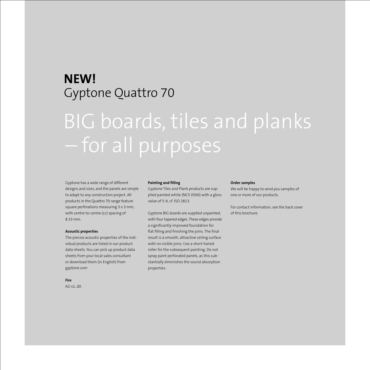# BIG boards, tiles and planks – for all purposes

#### Gyptone has a wide range of different designs and sizes, and the panels are simple to adapt to any construction project. All products in the Quattro 70 range feature square perforations measuring 3 x 3 mm, with centre-to-centre (cc) spacing of 8.33 mm.

#### **Acoustic properties**

The precise acoustic properties of the individual products are listed in our product data sheets. You can pick up product data sheets from your local sales consultant or download them (in English) from gyptone.com

### **Fire**

A2-s1, d0.

#### **Painting and filling**

Gyptone Tiles and Plank products are supplied painted white (NCS 0500) with a gloss value of 5-9, cf. ISO 2813.

Gyptone BIG boards are supplied unpainted, with four tapered edges. These edges provide a significantly improved foundation for flat filling and finishing the joins. The final result is a smooth, attractive ceiling surface with no visible joins. Use a short-haired roller for the subsequent painting. Do not spray paint perforated panels, as this substantially diminishes the sound absorption properties.

#### **Order samples**

We will be happy to send you samples of one or more of our products.

For contact information, see the back cover of this brochure.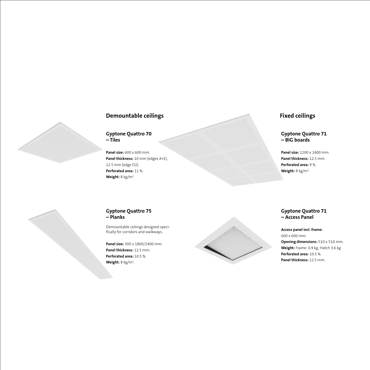### **Demountable ceilings**

**Gyptone Quattro 70 – Tiles** 

**Panel size:** 600 x 600 mm. **Panel thickness:** 10 mm (edges A+E), 12.5 mm (edge D2). **Perforated area:** 11 %. **Weight:** 8 kg/m2 .

### **Fixed ceilings**

**Gyptone Quattro 71 – BIG boards**

**Panel size:** 1200 x 2400 mm. **Panel thickness:** 12.5 mm. **Perforated area:** 9 %. **Weight:** 8 kg/m2 .

### **Gyptone Quattro 75 – Planks**

Demountable ceilings designed specifically for corridors and walkways.

**Panel size:** 300 x 1800/2400 mm. **Panel thickness:** 12.5 mm. **Perforated area:** 10.5 %. Weight: 8 kg/m<sup>2</sup>.



#### **Gyptone Quattro 71 – Access Panel**

#### **Access panel incl. frame:**  600 x 600 mm. **Opening dimensions:**  $510 \times 510$  mm. **Weight:** Frame: 0.9 kg, Hatch 3.6 kg. **Perforated area:** 10.5 %. **Panel thickness:** 12.5 mm.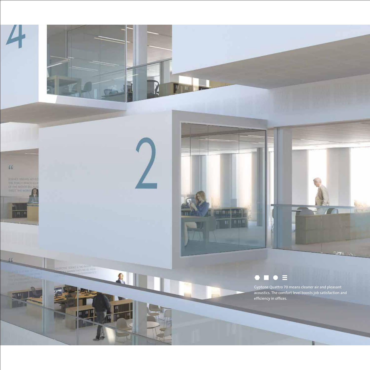

 $\left| \Pi \right|$ 

Gyptone Quattro 70 means cleaner air and pleasant acoustics. The comfort level boosts job satisfaction and efficiency in offices.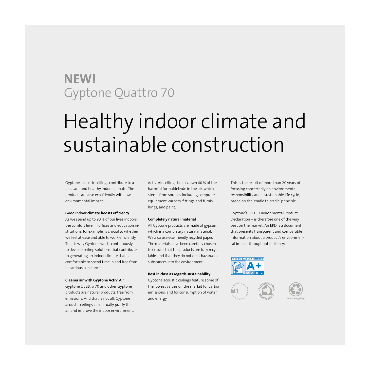# Healthy indoor climate and sustainable construction

Gyptone acoustic ceilings contribute to a pleasant and healthy indoor climate. The products are also eco-friendly with low environmental impact.

#### **Good indoor climate boosts efficiency**

As we spend up to 90 % of our lives indoors, the comfort level in offices and education institutions, for example, is crucial to whether we feel at ease and able to work efficiently. That is why Gyptone works continuously to develop ceiling solutions that contribute to generating an indoor climate that is comfortable to spend time in and free from hazardous substances.

#### **Cleaner air with Gyptone Activ' Air**

Gyptone Quattro 70 and other Gyptone products are natural products, free from emissions. And that is not all. Gyptone acoustic ceilings can actually purify the air and improve the indoor environment. Activ' Air ceilings break down 60 % of the harmful formaldehyde in the air, which stems from sources including computer equipment, carpets, fittings and furnishings, and paint.

#### **Completely natural material**

All Gyptone products are made of gypsum, which is a completely natural material. We also use eco-friendly recycled paper. The materials have been carefully chosen to ensure, that the products are fully recyclable, and that they do not emit hazardous substances into the environment.

#### **Best in class as regards sustainability**

Gyptone acoustic ceilings feature some of the lowest values on the market for carbon emissions, and for consumption of water and energy.

This is the result of more than 20 years of focusing concertedly on environmental responsibility and a sustainable life cycle, based on the 'cradle to cradle' principle.

Gyptone's EPD – Environmental Product Declaration – is therefore one of the very best on the market. An EPD is a document that presents transparent and comparable information about a product's environmental impact throughout its life cycle.